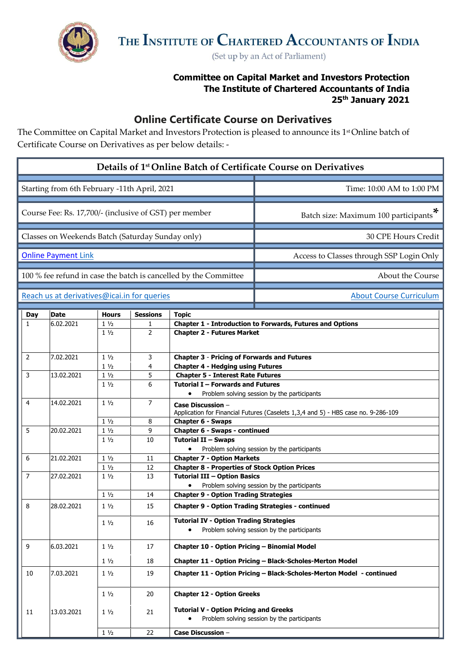

(Set up by an Act of Parliament)

## **Committee on Capital Market and Investors Protection The Institute of Chartered Accountants of India 25 th January 2021**

## **Online Certificate Course on Derivatives**

The Committee on Capital Market and Investors Protection is pleased to announce its 1 stOnline batch of Certificate Course on Derivatives as per below details: -

| Details of 1 <sup>st</sup> Online Batch of Certificate Course on Derivatives |                                                                  |                |                 |                                                                                                               |                                                                      |  |  |  |
|------------------------------------------------------------------------------|------------------------------------------------------------------|----------------|-----------------|---------------------------------------------------------------------------------------------------------------|----------------------------------------------------------------------|--|--|--|
|                                                                              | Starting from 6th February -11th April, 2021                     |                |                 | Time: 10:00 AM to 1:00 PM                                                                                     |                                                                      |  |  |  |
|                                                                              | Course Fee: Rs. 17,700/- (inclusive of GST) per member           |                |                 | Batch size: Maximum 100 participants                                                                          |                                                                      |  |  |  |
|                                                                              | Classes on Weekends Batch (Saturday Sunday only)                 |                |                 | 30 CPE Hours Credit                                                                                           |                                                                      |  |  |  |
|                                                                              | <b>Online Payment Link</b>                                       |                |                 | Access to Classes through SSP Login Only                                                                      |                                                                      |  |  |  |
|                                                                              | 100 % fee refund in case the batch is cancelled by the Committee |                |                 | About the Course                                                                                              |                                                                      |  |  |  |
|                                                                              | Reach us at derivatives@icai.in for queries                      |                |                 | <b>About Course Curriculum</b>                                                                                |                                                                      |  |  |  |
| Day                                                                          | <b>Date</b>                                                      | <b>Hours</b>   | <b>Sessions</b> | <b>Topic</b>                                                                                                  |                                                                      |  |  |  |
| $\mathbf{1}$                                                                 | 6.02.2021                                                        | $1\frac{1}{2}$ | 1               |                                                                                                               | <b>Chapter 1 - Introduction to Forwards, Futures and Options</b>     |  |  |  |
|                                                                              |                                                                  | $1\frac{1}{2}$ | $\overline{2}$  | <b>Chapter 2 - Futures Market</b>                                                                             |                                                                      |  |  |  |
| $\mathbf{2}$                                                                 | 7.02.2021                                                        | $1\frac{1}{2}$ | 3               | <b>Chapter 3 - Pricing of Forwards and Futures</b>                                                            |                                                                      |  |  |  |
|                                                                              |                                                                  | $1\frac{1}{2}$ | 4               | <b>Chapter 4 - Hedging using Futures</b>                                                                      |                                                                      |  |  |  |
| 3                                                                            | 13.02.2021                                                       | $1\frac{1}{2}$ | 5               | <b>Chapter 5 - Interest Rate Futures</b>                                                                      |                                                                      |  |  |  |
|                                                                              |                                                                  | $1\frac{1}{2}$ | 6               | Tutorial I - Forwards and Futures<br>Problem solving session by the participants<br>$\bullet$                 |                                                                      |  |  |  |
| 4                                                                            | 14.02.2021                                                       | $1\frac{1}{2}$ | $\overline{7}$  | <b>Case Discussion -</b><br>Application for Financial Futures (Caselets 1,3,4 and 5) - HBS case no. 9-286-109 |                                                                      |  |  |  |
|                                                                              |                                                                  | $1\frac{1}{2}$ | 8               | Chapter 6 - Swaps                                                                                             |                                                                      |  |  |  |
| 5                                                                            | 20.02.2021                                                       | $1\frac{1}{2}$ | 9               | Chapter 6 - Swaps - continued                                                                                 |                                                                      |  |  |  |
|                                                                              |                                                                  | $1\frac{1}{2}$ | 10              | <b>Tutorial II - Swaps</b>                                                                                    |                                                                      |  |  |  |
|                                                                              |                                                                  |                |                 | $\bullet$                                                                                                     | Problem solving session by the participants                          |  |  |  |
| 6                                                                            | 21.02.2021                                                       | $1\frac{1}{2}$ | 11              | <b>Chapter 7 - Option Markets</b>                                                                             |                                                                      |  |  |  |
|                                                                              |                                                                  | $1\frac{1}{2}$ | 12              | <b>Chapter 8 - Properties of Stock Option Prices</b>                                                          |                                                                      |  |  |  |
| 7                                                                            | 27.02.2021                                                       | $1\frac{1}{2}$ | 13              | <b>Tutorial III - Option Basics</b>                                                                           |                                                                      |  |  |  |
|                                                                              |                                                                  |                |                 |                                                                                                               | Problem solving session by the participants                          |  |  |  |
|                                                                              |                                                                  | $1\frac{1}{2}$ | 14              | <b>Chapter 9 - Option Trading Strategies</b>                                                                  |                                                                      |  |  |  |
| 8                                                                            | 28.02.2021                                                       | $1\frac{1}{2}$ | 15              | <b>Chapter 9 - Option Trading Strategies - continued</b><br><b>Tutorial IV - Option Trading Strategies</b>    |                                                                      |  |  |  |
|                                                                              |                                                                  | $1\frac{1}{2}$ | 16              | $\bullet$                                                                                                     | Problem solving session by the participants                          |  |  |  |
| 9                                                                            | 6.03.2021                                                        | $1\frac{1}{2}$ | 17              | Chapter 10 - Option Pricing - Binomial Model                                                                  |                                                                      |  |  |  |
|                                                                              |                                                                  | $1\frac{1}{2}$ | 18              |                                                                                                               | Chapter 11 - Option Pricing - Black-Scholes-Merton Model             |  |  |  |
| 10                                                                           | 7.03.2021                                                        | $1\frac{1}{2}$ | 19              |                                                                                                               | Chapter 11 - Option Pricing - Black-Scholes-Merton Model - continued |  |  |  |
|                                                                              |                                                                  | $1\frac{1}{2}$ | 20              | <b>Chapter 12 - Option Greeks</b>                                                                             |                                                                      |  |  |  |
| 11                                                                           | 13.03.2021                                                       | $1\frac{1}{2}$ | 21              | <b>Tutorial V - Option Pricing and Greeks</b>                                                                 | Problem solving session by the participants                          |  |  |  |
|                                                                              |                                                                  | $1\frac{1}{2}$ | 22              | Case Discussion -                                                                                             |                                                                      |  |  |  |